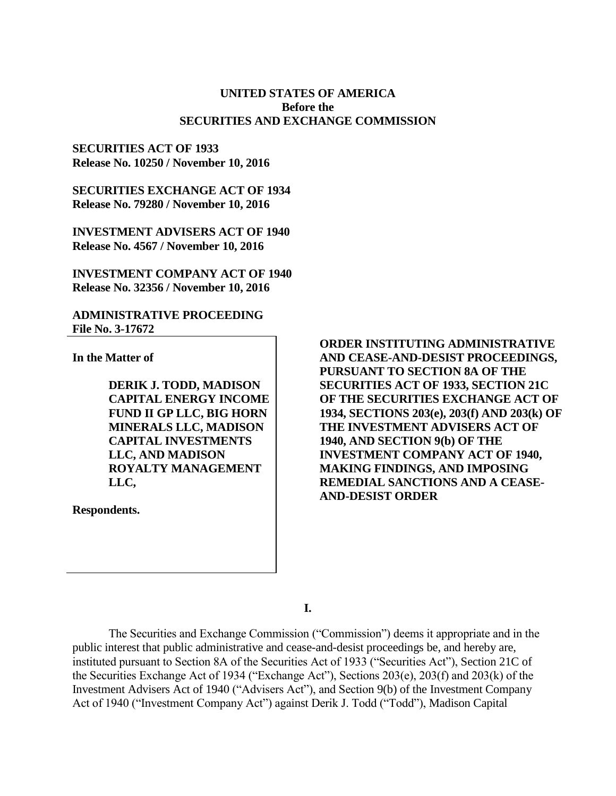# **UNITED STATES OF AMERICA Before the SECURITIES AND EXCHANGE COMMISSION**

## **SECURITIES ACT OF 1933 Release No. 10250 / November 10, 2016**

**SECURITIES EXCHANGE ACT OF 1934 Release No. 79280 / November 10, 2016**

**INVESTMENT ADVISERS ACT OF 1940 Release No. 4567 / November 10, 2016**

**INVESTMENT COMPANY ACT OF 1940 Release No. 32356 / November 10, 2016**

## **ADMINISTRATIVE PROCEEDING File No. 3-17672**

**In the Matter of**

**DERIK J. TODD, MADISON CAPITAL ENERGY INCOME FUND II GP LLC, BIG HORN MINERALS LLC, MADISON CAPITAL INVESTMENTS LLC, AND MADISON ROYALTY MANAGEMENT LLC,**

**Respondents.**

**ORDER INSTITUTING ADMINISTRATIVE AND CEASE-AND-DESIST PROCEEDINGS, PURSUANT TO SECTION 8A OF THE SECURITIES ACT OF 1933, SECTION 21C OF THE SECURITIES EXCHANGE ACT OF 1934, SECTIONS 203(e), 203(f) AND 203(k) OF THE INVESTMENT ADVISERS ACT OF 1940, AND SECTION 9(b) OF THE INVESTMENT COMPANY ACT OF 1940, MAKING FINDINGS, AND IMPOSING REMEDIAL SANCTIONS AND A CEASE-AND-DESIST ORDER** 

**I.**

The Securities and Exchange Commission ("Commission") deems it appropriate and in the public interest that public administrative and cease-and-desist proceedings be, and hereby are, instituted pursuant to Section 8A of the Securities Act of 1933 ("Securities Act"), Section 21C of the Securities Exchange Act of 1934 ("Exchange Act"), Sections 203(e), 203(f) and 203(k) of the Investment Advisers Act of 1940 ("Advisers Act"), and Section 9(b) of the Investment Company Act of 1940 ("Investment Company Act") against Derik J. Todd ("Todd"), Madison Capital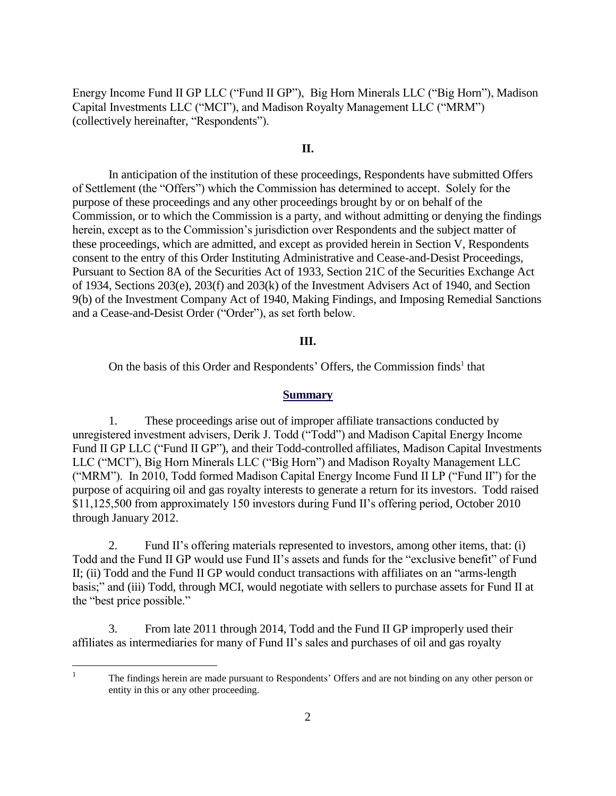Energy Income Fund II GP LLC ("Fund II GP"), Big Horn Minerals LLC ("Big Horn"), Madison Capital Investments LLC ("MCI"), and Madison Royalty Management LLC ("MRM") (collectively hereinafter, "Respondents").

# **II.**

In anticipation of the institution of these proceedings, Respondents have submitted Offers of Settlement (the "Offers") which the Commission has determined to accept. Solely for the purpose of these proceedings and any other proceedings brought by or on behalf of the Commission, or to which the Commission is a party, and without admitting or denying the findings herein, except as to the Commission's jurisdiction over Respondents and the subject matter of these proceedings, which are admitted, and except as provided herein in Section V, Respondents consent to the entry of this Order Instituting Administrative and Cease-and-Desist Proceedings, Pursuant to Section 8A of the Securities Act of 1933, Section 21C of the Securities Exchange Act of 1934, Sections 203(e), 203(f) and 203(k) of the Investment Advisers Act of 1940, and Section 9(b) of the Investment Company Act of 1940, Making Findings, and Imposing Remedial Sanctions and a Cease-and-Desist Order ("Order"), as set forth below.

### **III.**

On the basis of this Order and Respondents' Offers, the Commission finds<sup>1</sup> that

#### **Summary**

1. These proceedings arise out of improper affiliate transactions conducted by unregistered investment advisers, Derik J. Todd ("Todd") and Madison Capital Energy Income Fund II GP LLC ("Fund II GP"), and their Todd-controlled affiliates, Madison Capital Investments LLC ("MCI"), Big Horn Minerals LLC ("Big Horn") and Madison Royalty Management LLC ("MRM"). In 2010, Todd formed Madison Capital Energy Income Fund II LP ("Fund II") for the purpose of acquiring oil and gas royalty interests to generate a return for its investors. Todd raised \$11,125,500 from approximately 150 investors during Fund II's offering period, October 2010 through January 2012.

2. Fund II's offering materials represented to investors, among other items, that: (i) Todd and the Fund II GP would use Fund II's assets and funds for the "exclusive benefit" of Fund II; (ii) Todd and the Fund II GP would conduct transactions with affiliates on an "arms-length basis;" and (iii) Todd, through MCI, would negotiate with sellers to purchase assets for Fund II at the "best price possible."

3. From late 2011 through 2014, Todd and the Fund II GP improperly used their affiliates as intermediaries for many of Fund II's sales and purchases of oil and gas royalty

 $\frac{1}{1}$ 

The findings herein are made pursuant to Respondents' Offers and are not binding on any other person or entity in this or any other proceeding.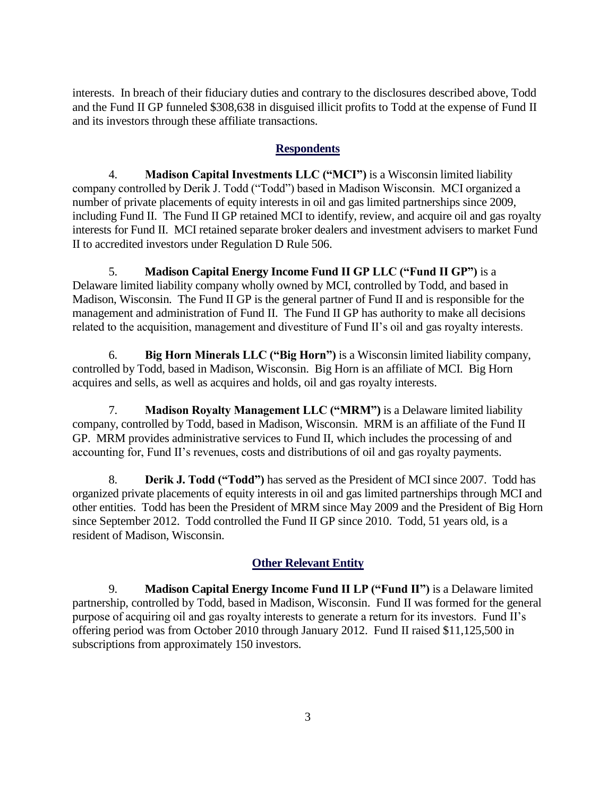interests. In breach of their fiduciary duties and contrary to the disclosures described above, Todd and the Fund II GP funneled \$308,638 in disguised illicit profits to Todd at the expense of Fund II and its investors through these affiliate transactions.

# **Respondents**

4. **Madison Capital Investments LLC ("MCI")** is a Wisconsin limited liability company controlled by Derik J. Todd ("Todd") based in Madison Wisconsin. MCI organized a number of private placements of equity interests in oil and gas limited partnerships since 2009, including Fund II. The Fund II GP retained MCI to identify, review, and acquire oil and gas royalty interests for Fund II. MCI retained separate broker dealers and investment advisers to market Fund II to accredited investors under Regulation D Rule 506.

5. **Madison Capital Energy Income Fund II GP LLC ("Fund II GP")** is a Delaware limited liability company wholly owned by MCI, controlled by Todd, and based in Madison, Wisconsin. The Fund II GP is the general partner of Fund II and is responsible for the management and administration of Fund II. The Fund II GP has authority to make all decisions related to the acquisition, management and divestiture of Fund II's oil and gas royalty interests.

6. **Big Horn Minerals LLC ("Big Horn")** is a Wisconsin limited liability company, controlled by Todd, based in Madison, Wisconsin. Big Horn is an affiliate of MCI. Big Horn acquires and sells, as well as acquires and holds, oil and gas royalty interests.

7. **Madison Royalty Management LLC ("MRM")** is a Delaware limited liability company, controlled by Todd, based in Madison, Wisconsin. MRM is an affiliate of the Fund II GP. MRM provides administrative services to Fund II, which includes the processing of and accounting for, Fund II's revenues, costs and distributions of oil and gas royalty payments.

8. **Derik J. Todd ("Todd")** has served as the President of MCI since 2007. Todd has organized private placements of equity interests in oil and gas limited partnerships through MCI and other entities. Todd has been the President of MRM since May 2009 and the President of Big Horn since September 2012. Todd controlled the Fund II GP since 2010. Todd, 51 years old, is a resident of Madison, Wisconsin.

# **Other Relevant Entity**

9. **Madison Capital Energy Income Fund II LP ("Fund II")** is a Delaware limited partnership, controlled by Todd, based in Madison, Wisconsin. Fund II was formed for the general purpose of acquiring oil and gas royalty interests to generate a return for its investors. Fund II's offering period was from October 2010 through January 2012. Fund II raised \$11,125,500 in subscriptions from approximately 150 investors.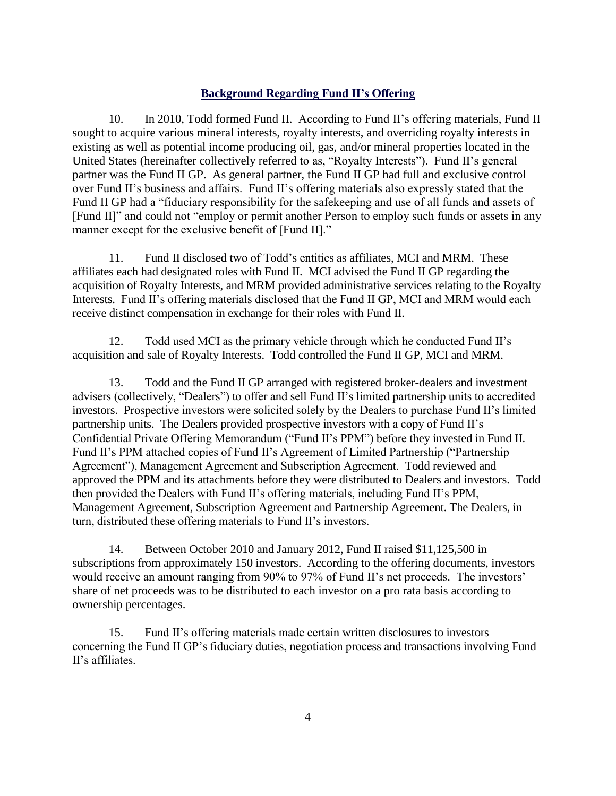## **Background Regarding Fund II's Offering**

10. In 2010, Todd formed Fund II. According to Fund II's offering materials, Fund II sought to acquire various mineral interests, royalty interests, and overriding royalty interests in existing as well as potential income producing oil, gas, and/or mineral properties located in the United States (hereinafter collectively referred to as, "Royalty Interests"). Fund II's general partner was the Fund II GP. As general partner, the Fund II GP had full and exclusive control over Fund II's business and affairs. Fund II's offering materials also expressly stated that the Fund II GP had a "fiduciary responsibility for the safekeeping and use of all funds and assets of [Fund II]" and could not "employ or permit another Person to employ such funds or assets in any manner except for the exclusive benefit of [Fund II]."

11. Fund II disclosed two of Todd's entities as affiliates, MCI and MRM. These affiliates each had designated roles with Fund II. MCI advised the Fund II GP regarding the acquisition of Royalty Interests, and MRM provided administrative services relating to the Royalty Interests. Fund II's offering materials disclosed that the Fund II GP, MCI and MRM would each receive distinct compensation in exchange for their roles with Fund II.

12. Todd used MCI as the primary vehicle through which he conducted Fund II's acquisition and sale of Royalty Interests. Todd controlled the Fund II GP, MCI and MRM.

13. Todd and the Fund II GP arranged with registered broker-dealers and investment advisers (collectively, "Dealers") to offer and sell Fund II's limited partnership units to accredited investors. Prospective investors were solicited solely by the Dealers to purchase Fund II's limited partnership units. The Dealers provided prospective investors with a copy of Fund II's Confidential Private Offering Memorandum ("Fund II's PPM") before they invested in Fund II. Fund II's PPM attached copies of Fund II's Agreement of Limited Partnership ("Partnership Agreement"), Management Agreement and Subscription Agreement. Todd reviewed and approved the PPM and its attachments before they were distributed to Dealers and investors. Todd then provided the Dealers with Fund II's offering materials, including Fund II's PPM, Management Agreement, Subscription Agreement and Partnership Agreement. The Dealers, in turn, distributed these offering materials to Fund II's investors.

14. Between October 2010 and January 2012, Fund II raised \$11,125,500 in subscriptions from approximately 150 investors. According to the offering documents, investors would receive an amount ranging from 90% to 97% of Fund II's net proceeds. The investors' share of net proceeds was to be distributed to each investor on a pro rata basis according to ownership percentages.

15. Fund II's offering materials made certain written disclosures to investors concerning the Fund II GP's fiduciary duties, negotiation process and transactions involving Fund II's affiliates.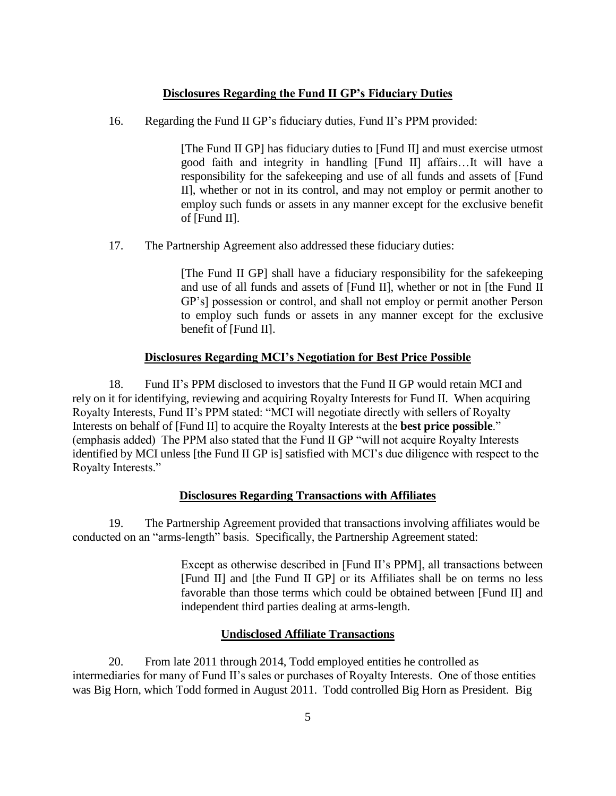## **Disclosures Regarding the Fund II GP's Fiduciary Duties**

16. Regarding the Fund II GP's fiduciary duties, Fund II's PPM provided:

[The Fund II GP] has fiduciary duties to [Fund II] and must exercise utmost good faith and integrity in handling [Fund II] affairs…It will have a responsibility for the safekeeping and use of all funds and assets of [Fund II], whether or not in its control, and may not employ or permit another to employ such funds or assets in any manner except for the exclusive benefit of [Fund II].

17. The Partnership Agreement also addressed these fiduciary duties:

[The Fund II GP] shall have a fiduciary responsibility for the safekeeping and use of all funds and assets of [Fund II], whether or not in [the Fund II GP's] possession or control, and shall not employ or permit another Person to employ such funds or assets in any manner except for the exclusive benefit of [Fund II].

#### **Disclosures Regarding MCI's Negotiation for Best Price Possible**

18. Fund II's PPM disclosed to investors that the Fund II GP would retain MCI and rely on it for identifying, reviewing and acquiring Royalty Interests for Fund II. When acquiring Royalty Interests, Fund II's PPM stated: "MCI will negotiate directly with sellers of Royalty Interests on behalf of [Fund II] to acquire the Royalty Interests at the **best price possible**." (emphasis added) The PPM also stated that the Fund II GP "will not acquire Royalty Interests identified by MCI unless [the Fund II GP is] satisfied with MCI's due diligence with respect to the Royalty Interests."

#### **Disclosures Regarding Transactions with Affiliates**

19. The Partnership Agreement provided that transactions involving affiliates would be conducted on an "arms-length" basis. Specifically, the Partnership Agreement stated:

> Except as otherwise described in [Fund II's PPM], all transactions between [Fund II] and [the Fund II GP] or its Affiliates shall be on terms no less favorable than those terms which could be obtained between [Fund II] and independent third parties dealing at arms-length.

## **Undisclosed Affiliate Transactions**

20. From late 2011 through 2014, Todd employed entities he controlled as intermediaries for many of Fund II's sales or purchases of Royalty Interests. One of those entities was Big Horn, which Todd formed in August 2011. Todd controlled Big Horn as President. Big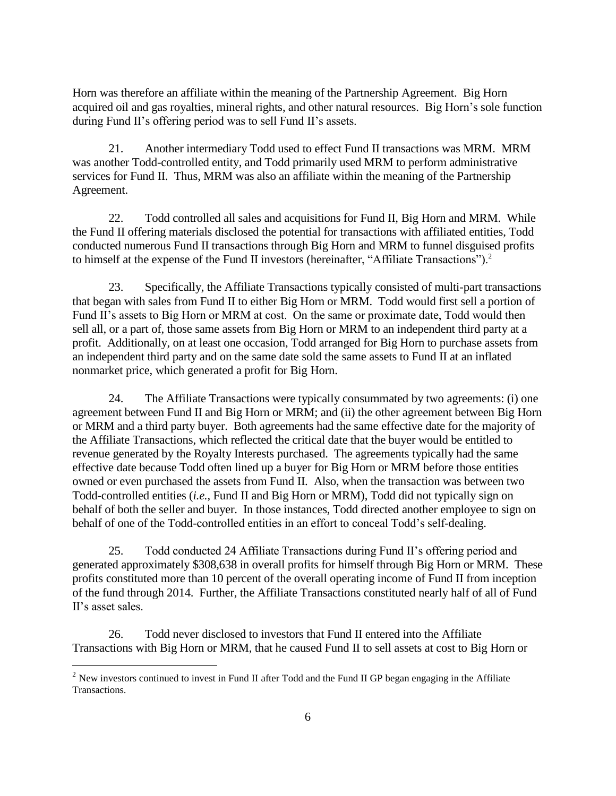Horn was therefore an affiliate within the meaning of the Partnership Agreement. Big Horn acquired oil and gas royalties, mineral rights, and other natural resources. Big Horn's sole function during Fund II's offering period was to sell Fund II's assets.

21. Another intermediary Todd used to effect Fund II transactions was MRM. MRM was another Todd-controlled entity, and Todd primarily used MRM to perform administrative services for Fund II. Thus, MRM was also an affiliate within the meaning of the Partnership Agreement.

22. Todd controlled all sales and acquisitions for Fund II, Big Horn and MRM. While the Fund II offering materials disclosed the potential for transactions with affiliated entities, Todd conducted numerous Fund II transactions through Big Horn and MRM to funnel disguised profits to himself at the expense of the Fund II investors (hereinafter, "Affiliate Transactions").<sup>2</sup>

23. Specifically, the Affiliate Transactions typically consisted of multi-part transactions that began with sales from Fund II to either Big Horn or MRM. Todd would first sell a portion of Fund II's assets to Big Horn or MRM at cost. On the same or proximate date, Todd would then sell all, or a part of, those same assets from Big Horn or MRM to an independent third party at a profit. Additionally, on at least one occasion, Todd arranged for Big Horn to purchase assets from an independent third party and on the same date sold the same assets to Fund II at an inflated nonmarket price, which generated a profit for Big Horn.

24. The Affiliate Transactions were typically consummated by two agreements: (i) one agreement between Fund II and Big Horn or MRM; and (ii) the other agreement between Big Horn or MRM and a third party buyer. Both agreements had the same effective date for the majority of the Affiliate Transactions, which reflected the critical date that the buyer would be entitled to revenue generated by the Royalty Interests purchased. The agreements typically had the same effective date because Todd often lined up a buyer for Big Horn or MRM before those entities owned or even purchased the assets from Fund II. Also, when the transaction was between two Todd-controlled entities (*i.e.*, Fund II and Big Horn or MRM), Todd did not typically sign on behalf of both the seller and buyer. In those instances, Todd directed another employee to sign on behalf of one of the Todd-controlled entities in an effort to conceal Todd's self-dealing.

25. Todd conducted 24 Affiliate Transactions during Fund II's offering period and generated approximately \$308,638 in overall profits for himself through Big Horn or MRM. These profits constituted more than 10 percent of the overall operating income of Fund II from inception of the fund through 2014. Further, the Affiliate Transactions constituted nearly half of all of Fund II's asset sales.

26. Todd never disclosed to investors that Fund II entered into the Affiliate Transactions with Big Horn or MRM, that he caused Fund II to sell assets at cost to Big Horn or

 $\overline{a}$ 

<sup>&</sup>lt;sup>2</sup> New investors continued to invest in Fund II after Todd and the Fund II GP began engaging in the Affiliate Transactions.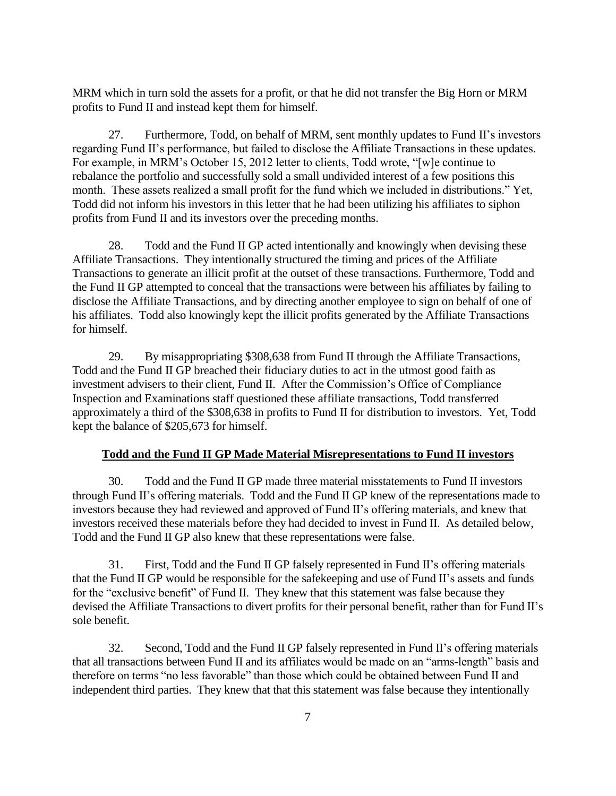MRM which in turn sold the assets for a profit, or that he did not transfer the Big Horn or MRM profits to Fund II and instead kept them for himself.

27. Furthermore, Todd, on behalf of MRM, sent monthly updates to Fund II's investors regarding Fund II's performance, but failed to disclose the Affiliate Transactions in these updates. For example, in MRM's October 15, 2012 letter to clients, Todd wrote, "[w]e continue to rebalance the portfolio and successfully sold a small undivided interest of a few positions this month. These assets realized a small profit for the fund which we included in distributions." Yet, Todd did not inform his investors in this letter that he had been utilizing his affiliates to siphon profits from Fund II and its investors over the preceding months.

28. Todd and the Fund II GP acted intentionally and knowingly when devising these Affiliate Transactions. They intentionally structured the timing and prices of the Affiliate Transactions to generate an illicit profit at the outset of these transactions. Furthermore, Todd and the Fund II GP attempted to conceal that the transactions were between his affiliates by failing to disclose the Affiliate Transactions, and by directing another employee to sign on behalf of one of his affiliates. Todd also knowingly kept the illicit profits generated by the Affiliate Transactions for himself.

29. By misappropriating \$308,638 from Fund II through the Affiliate Transactions, Todd and the Fund II GP breached their fiduciary duties to act in the utmost good faith as investment advisers to their client, Fund II. After the Commission's Office of Compliance Inspection and Examinations staff questioned these affiliate transactions, Todd transferred approximately a third of the \$308,638 in profits to Fund II for distribution to investors. Yet, Todd kept the balance of \$205,673 for himself.

## **Todd and the Fund II GP Made Material Misrepresentations to Fund II investors**

30. Todd and the Fund II GP made three material misstatements to Fund II investors through Fund II's offering materials. Todd and the Fund II GP knew of the representations made to investors because they had reviewed and approved of Fund II's offering materials, and knew that investors received these materials before they had decided to invest in Fund II. As detailed below, Todd and the Fund II GP also knew that these representations were false.

31. First, Todd and the Fund II GP falsely represented in Fund II's offering materials that the Fund II GP would be responsible for the safekeeping and use of Fund II's assets and funds for the "exclusive benefit" of Fund II. They knew that this statement was false because they devised the Affiliate Transactions to divert profits for their personal benefit, rather than for Fund II's sole benefit.

32. Second, Todd and the Fund II GP falsely represented in Fund II's offering materials that all transactions between Fund II and its affiliates would be made on an "arms-length" basis and therefore on terms "no less favorable" than those which could be obtained between Fund II and independent third parties. They knew that that this statement was false because they intentionally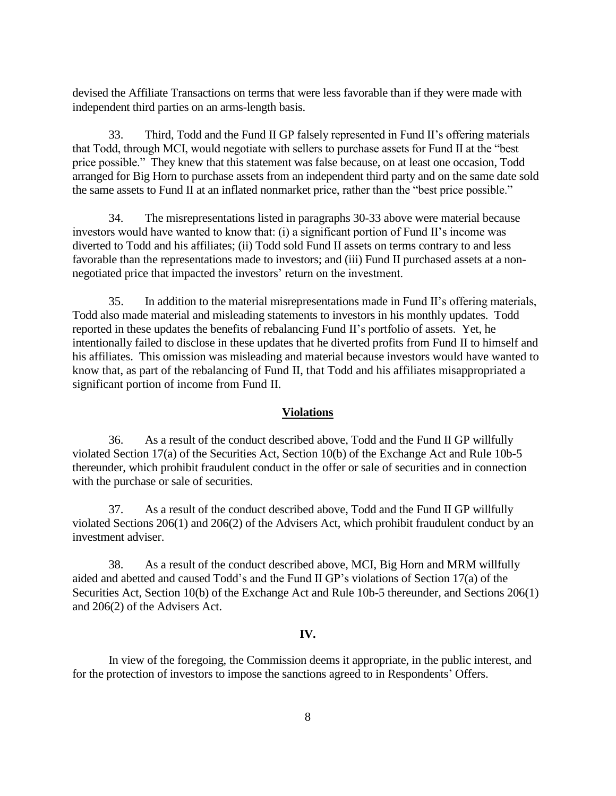devised the Affiliate Transactions on terms that were less favorable than if they were made with independent third parties on an arms-length basis.

33. Third, Todd and the Fund II GP falsely represented in Fund II's offering materials that Todd, through MCI, would negotiate with sellers to purchase assets for Fund II at the "best price possible." They knew that this statement was false because, on at least one occasion, Todd arranged for Big Horn to purchase assets from an independent third party and on the same date sold the same assets to Fund II at an inflated nonmarket price, rather than the "best price possible."

34. The misrepresentations listed in paragraphs 30-33 above were material because investors would have wanted to know that: (i) a significant portion of Fund II's income was diverted to Todd and his affiliates; (ii) Todd sold Fund II assets on terms contrary to and less favorable than the representations made to investors; and (iii) Fund II purchased assets at a nonnegotiated price that impacted the investors' return on the investment.

35. In addition to the material misrepresentations made in Fund II's offering materials, Todd also made material and misleading statements to investors in his monthly updates. Todd reported in these updates the benefits of rebalancing Fund II's portfolio of assets. Yet, he intentionally failed to disclose in these updates that he diverted profits from Fund II to himself and his affiliates. This omission was misleading and material because investors would have wanted to know that, as part of the rebalancing of Fund II, that Todd and his affiliates misappropriated a significant portion of income from Fund II.

#### **Violations**

36. As a result of the conduct described above, Todd and the Fund II GP willfully violated Section 17(a) of the Securities Act, Section 10(b) of the Exchange Act and Rule 10b-5 thereunder, which prohibit fraudulent conduct in the offer or sale of securities and in connection with the purchase or sale of securities.

37. As a result of the conduct described above, Todd and the Fund II GP willfully violated Sections 206(1) and 206(2) of the Advisers Act, which prohibit fraudulent conduct by an investment adviser.

38. As a result of the conduct described above, MCI, Big Horn and MRM willfully aided and abetted and caused Todd's and the Fund II GP's violations of Section 17(a) of the Securities Act, Section 10(b) of the Exchange Act and Rule 10b-5 thereunder, and Sections 206(1) and 206(2) of the Advisers Act.

#### **IV.**

In view of the foregoing, the Commission deems it appropriate, in the public interest*,* and for the protection of investors to impose the sanctions agreed to in Respondents' Offers.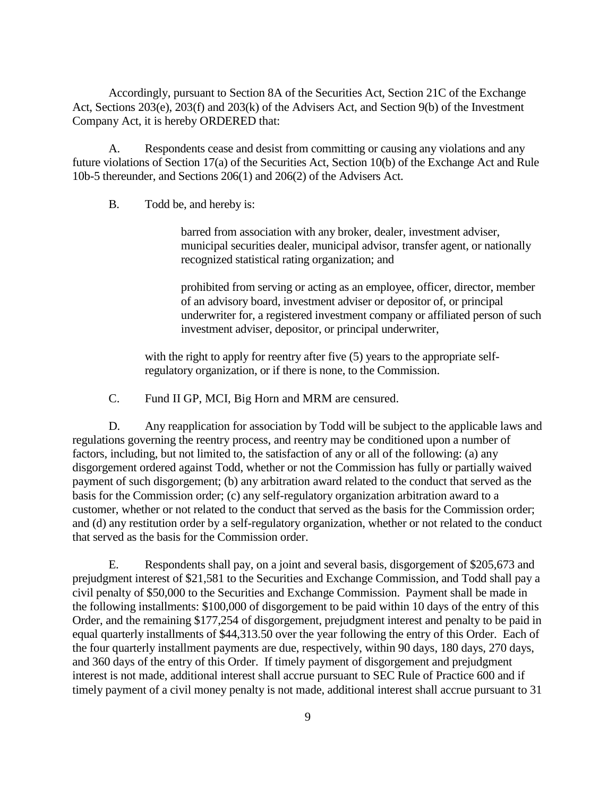Accordingly, pursuant to Section 8A of the Securities Act, Section 21C of the Exchange Act, Sections 203(e), 203(f) and 203(k) of the Advisers Act, and Section 9(b) of the Investment Company Act, it is hereby ORDERED that:

A. Respondents cease and desist from committing or causing any violations and any future violations of Section 17(a) of the Securities Act, Section 10(b) of the Exchange Act and Rule 10b-5 thereunder, and Sections 206(1) and 206(2) of the Advisers Act.

B. Todd be, and hereby is:

barred from association with any broker, dealer, investment adviser, municipal securities dealer, municipal advisor, transfer agent, or nationally recognized statistical rating organization; and

prohibited from serving or acting as an employee, officer, director, member of an advisory board, investment adviser or depositor of, or principal underwriter for, a registered investment company or affiliated person of such investment adviser, depositor, or principal underwriter,

with the right to apply for reentry after five (5) years to the appropriate selfregulatory organization, or if there is none, to the Commission.

C. Fund II GP, MCI, Big Horn and MRM are censured.

D. Any reapplication for association by Todd will be subject to the applicable laws and regulations governing the reentry process, and reentry may be conditioned upon a number of factors, including, but not limited to, the satisfaction of any or all of the following: (a) any disgorgement ordered against Todd, whether or not the Commission has fully or partially waived payment of such disgorgement; (b) any arbitration award related to the conduct that served as the basis for the Commission order; (c) any self-regulatory organization arbitration award to a customer, whether or not related to the conduct that served as the basis for the Commission order; and (d) any restitution order by a self-regulatory organization, whether or not related to the conduct that served as the basis for the Commission order.

E. Respondents shall pay, on a joint and several basis, disgorgement of \$205,673 and prejudgment interest of \$21,581 to the Securities and Exchange Commission, and Todd shall pay a civil penalty of \$50,000 to the Securities and Exchange Commission. Payment shall be made in the following installments: \$100,000 of disgorgement to be paid within 10 days of the entry of this Order, and the remaining \$177,254 of disgorgement, prejudgment interest and penalty to be paid in equal quarterly installments of \$44,313.50 over the year following the entry of this Order. Each of the four quarterly installment payments are due, respectively, within 90 days, 180 days, 270 days, and 360 days of the entry of this Order. If timely payment of disgorgement and prejudgment interest is not made, additional interest shall accrue pursuant to SEC Rule of Practice 600 and if timely payment of a civil money penalty is not made, additional interest shall accrue pursuant to 31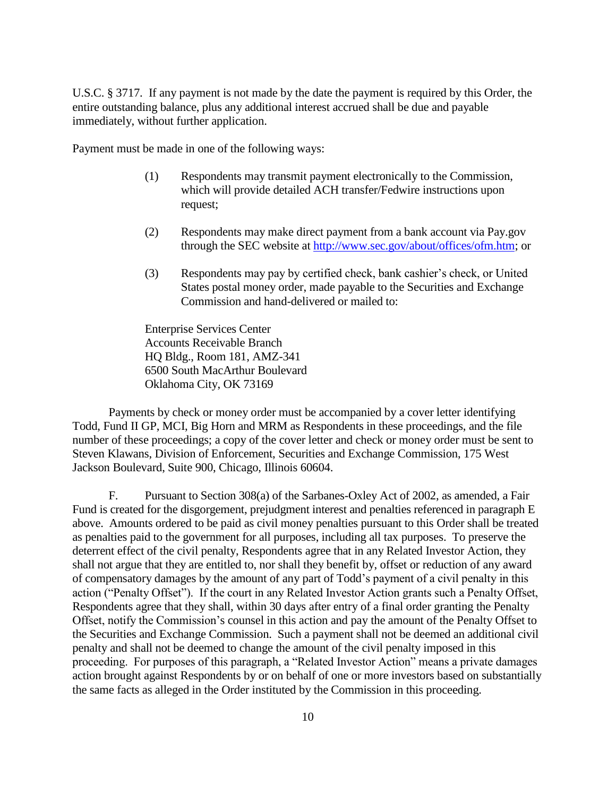U.S.C. § 3717. If any payment is not made by the date the payment is required by this Order, the entire outstanding balance, plus any additional interest accrued shall be due and payable immediately, without further application.

Payment must be made in one of the following ways:

- (1) Respondents may transmit payment electronically to the Commission, which will provide detailed ACH transfer/Fedwire instructions upon request;
- (2) Respondents may make direct payment from a bank account via Pay.gov through the SEC website at http://www.sec.gov/about/offices/ofm.htm; or
- (3) Respondents may pay by certified check, bank cashier's check, or United States postal money order, made payable to the Securities and Exchange Commission and hand-delivered or mailed to:

Enterprise Services Center Accounts Receivable Branch HQ Bldg., Room 181, AMZ-341 6500 South MacArthur Boulevard Oklahoma City, OK 73169

Payments by check or money order must be accompanied by a cover letter identifying Todd, Fund II GP, MCI, Big Horn and MRM as Respondents in these proceedings, and the file number of these proceedings; a copy of the cover letter and check or money order must be sent to Steven Klawans, Division of Enforcement, Securities and Exchange Commission, 175 West Jackson Boulevard, Suite 900, Chicago, Illinois 60604.

F. Pursuant to Section 308(a) of the Sarbanes-Oxley Act of 2002, as amended, a Fair Fund is created for the disgorgement, prejudgment interest and penalties referenced in paragraph E above. Amounts ordered to be paid as civil money penalties pursuant to this Order shall be treated as penalties paid to the government for all purposes, including all tax purposes. To preserve the deterrent effect of the civil penalty, Respondents agree that in any Related Investor Action, they shall not argue that they are entitled to, nor shall they benefit by, offset or reduction of any award of compensatory damages by the amount of any part of Todd's payment of a civil penalty in this action ("Penalty Offset"). If the court in any Related Investor Action grants such a Penalty Offset, Respondents agree that they shall, within 30 days after entry of a final order granting the Penalty Offset, notify the Commission's counsel in this action and pay the amount of the Penalty Offset to the Securities and Exchange Commission. Such a payment shall not be deemed an additional civil penalty and shall not be deemed to change the amount of the civil penalty imposed in this proceeding. For purposes of this paragraph, a "Related Investor Action" means a private damages action brought against Respondents by or on behalf of one or more investors based on substantially the same facts as alleged in the Order instituted by the Commission in this proceeding.